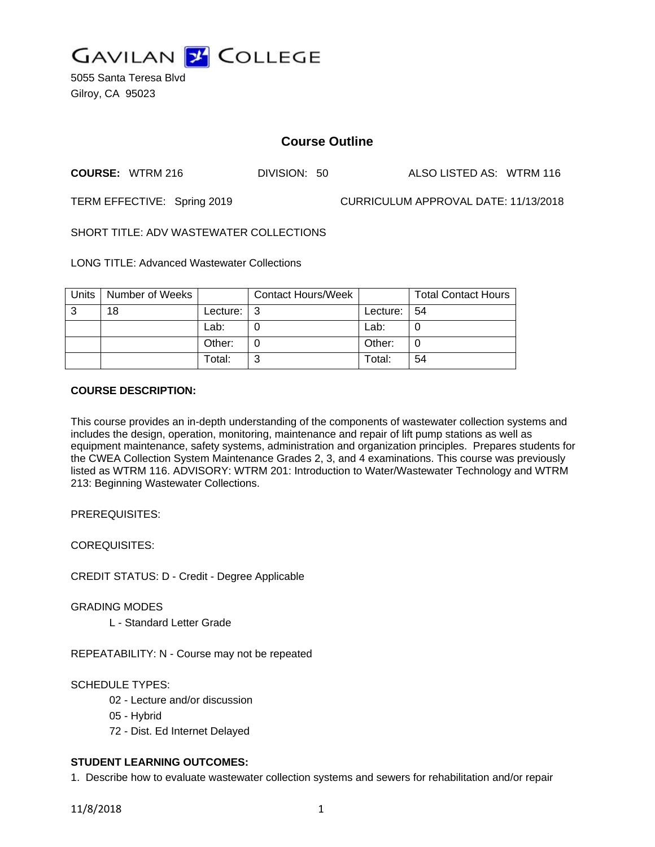

5055 Santa Teresa Blvd Gilroy, CA 95023

# **Course Outline**

**COURSE:** WTRM 216 DIVISION: 50 ALSO LISTED AS: WTRM 116

TERM EFFECTIVE: Spring 2019 CURRICULUM APPROVAL DATE: 11/13/2018

SHORT TITLE: ADV WASTEWATER COLLECTIONS

LONG TITLE: Advanced Wastewater Collections

|    | Units   Number of Weeks |            | <b>Contact Hours/Week</b> |             | <b>Total Contact Hours</b> |
|----|-------------------------|------------|---------------------------|-------------|----------------------------|
| -3 | 18                      | Lecture: I |                           | Lecture: 54 |                            |
|    |                         | Lab:       |                           | Lab:        |                            |
|    |                         | Other:     |                           | Other:      | 0                          |
|    |                         | Total:     | ົ                         | Total:      | 54                         |

## **COURSE DESCRIPTION:**

This course provides an in-depth understanding of the components of wastewater collection systems and includes the design, operation, monitoring, maintenance and repair of lift pump stations as well as equipment maintenance, safety systems, administration and organization principles. Prepares students for the CWEA Collection System Maintenance Grades 2, 3, and 4 examinations. This course was previously listed as WTRM 116. ADVISORY: WTRM 201: Introduction to Water/Wastewater Technology and WTRM 213: Beginning Wastewater Collections.

PREREQUISITES:

COREQUISITES:

CREDIT STATUS: D - Credit - Degree Applicable

GRADING MODES

L - Standard Letter Grade

REPEATABILITY: N - Course may not be repeated

## SCHEDULE TYPES:

- 02 Lecture and/or discussion
- 05 Hybrid
- 72 Dist. Ed Internet Delayed

## **STUDENT LEARNING OUTCOMES:**

1. Describe how to evaluate wastewater collection systems and sewers for rehabilitation and/or repair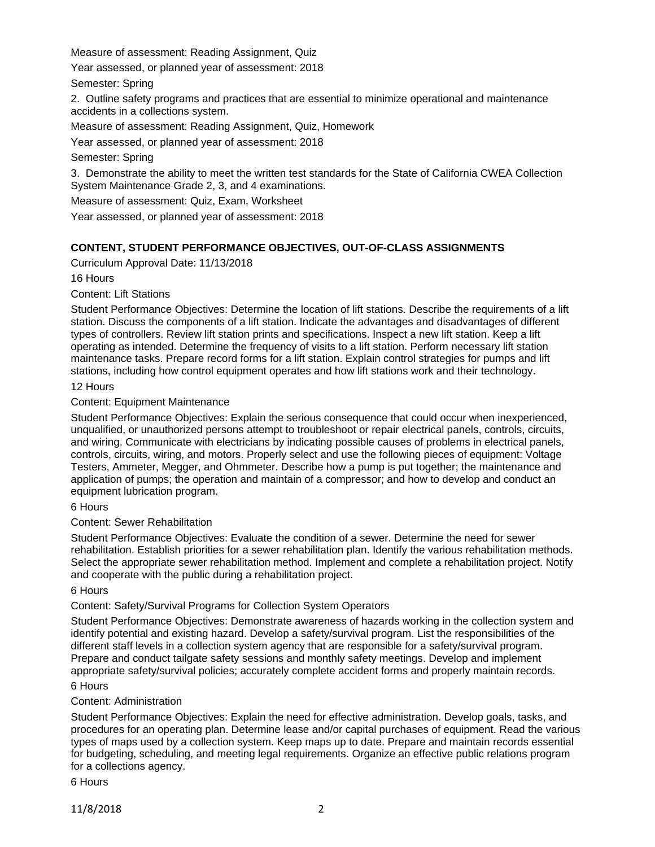Measure of assessment: Reading Assignment, Quiz

Year assessed, or planned year of assessment: 2018

Semester: Spring

2. Outline safety programs and practices that are essential to minimize operational and maintenance accidents in a collections system.

Measure of assessment: Reading Assignment, Quiz, Homework

Year assessed, or planned year of assessment: 2018

Semester: Spring

3. Demonstrate the ability to meet the written test standards for the State of California CWEA Collection System Maintenance Grade 2, 3, and 4 examinations.

Measure of assessment: Quiz, Exam, Worksheet

Year assessed, or planned year of assessment: 2018

## **CONTENT, STUDENT PERFORMANCE OBJECTIVES, OUT-OF-CLASS ASSIGNMENTS**

Curriculum Approval Date: 11/13/2018

16 Hours

Content: Lift Stations

Student Performance Objectives: Determine the location of lift stations. Describe the requirements of a lift station. Discuss the components of a lift station. Indicate the advantages and disadvantages of different types of controllers. Review lift station prints and specifications. Inspect a new lift station. Keep a lift operating as intended. Determine the frequency of visits to a lift station. Perform necessary lift station maintenance tasks. Prepare record forms for a lift station. Explain control strategies for pumps and lift stations, including how control equipment operates and how lift stations work and their technology.

### 12 Hours

Content: Equipment Maintenance

Student Performance Objectives: Explain the serious consequence that could occur when inexperienced, unqualified, or unauthorized persons attempt to troubleshoot or repair electrical panels, controls, circuits, and wiring. Communicate with electricians by indicating possible causes of problems in electrical panels, controls, circuits, wiring, and motors. Properly select and use the following pieces of equipment: Voltage Testers, Ammeter, Megger, and Ohmmeter. Describe how a pump is put together; the maintenance and application of pumps; the operation and maintain of a compressor; and how to develop and conduct an equipment lubrication program.

6 Hours

Content: Sewer Rehabilitation

Student Performance Objectives: Evaluate the condition of a sewer. Determine the need for sewer rehabilitation. Establish priorities for a sewer rehabilitation plan. Identify the various rehabilitation methods. Select the appropriate sewer rehabilitation method. Implement and complete a rehabilitation project. Notify and cooperate with the public during a rehabilitation project.

6 Hours

Content: Safety/Survival Programs for Collection System Operators

Student Performance Objectives: Demonstrate awareness of hazards working in the collection system and identify potential and existing hazard. Develop a safety/survival program. List the responsibilities of the different staff levels in a collection system agency that are responsible for a safety/survival program. Prepare and conduct tailgate safety sessions and monthly safety meetings. Develop and implement appropriate safety/survival policies; accurately complete accident forms and properly maintain records. 6 Hours

## Content: Administration

Student Performance Objectives: Explain the need for effective administration. Develop goals, tasks, and procedures for an operating plan. Determine lease and/or capital purchases of equipment. Read the various types of maps used by a collection system. Keep maps up to date. Prepare and maintain records essential for budgeting, scheduling, and meeting legal requirements. Organize an effective public relations program for a collections agency.

6 Hours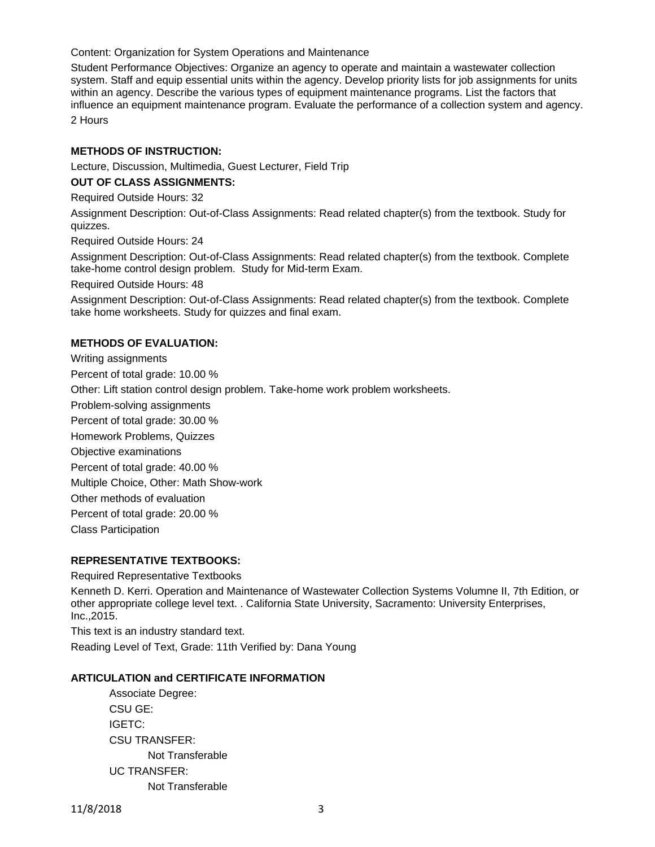Content: Organization for System Operations and Maintenance

Student Performance Objectives: Organize an agency to operate and maintain a wastewater collection system. Staff and equip essential units within the agency. Develop priority lists for job assignments for units within an agency. Describe the various types of equipment maintenance programs. List the factors that influence an equipment maintenance program. Evaluate the performance of a collection system and agency. 2 Hours

**METHODS OF INSTRUCTION:**

Lecture, Discussion, Multimedia, Guest Lecturer, Field Trip

## **OUT OF CLASS ASSIGNMENTS:**

Required Outside Hours: 32

Assignment Description: Out-of-Class Assignments: Read related chapter(s) from the textbook. Study for quizzes.

Required Outside Hours: 24

Assignment Description: Out-of-Class Assignments: Read related chapter(s) from the textbook. Complete take-home control design problem. Study for Mid-term Exam.

Required Outside Hours: 48

Assignment Description: Out-of-Class Assignments: Read related chapter(s) from the textbook. Complete take home worksheets. Study for quizzes and final exam.

## **METHODS OF EVALUATION:**

Writing assignments Percent of total grade: 10.00 % Other: Lift station control design problem. Take-home work problem worksheets. Problem-solving assignments Percent of total grade: 30.00 % Homework Problems, Quizzes Objective examinations Percent of total grade: 40.00 % Multiple Choice, Other: Math Show-work Other methods of evaluation Percent of total grade: 20.00 % Class Participation **REPRESENTATIVE TEXTBOOKS:**

Required Representative Textbooks

Kenneth D. Kerri. Operation and Maintenance of Wastewater Collection Systems Volumne II, 7th Edition, or other appropriate college level text. . California State University, Sacramento: University Enterprises, Inc.,2015.

This text is an industry standard text. Reading Level of Text, Grade: 11th Verified by: Dana Young

#### **ARTICULATION and CERTIFICATE INFORMATION**

Associate Degree: CSU GE: IGETC: CSU TRANSFER: Not Transferable UC TRANSFER: Not Transferable